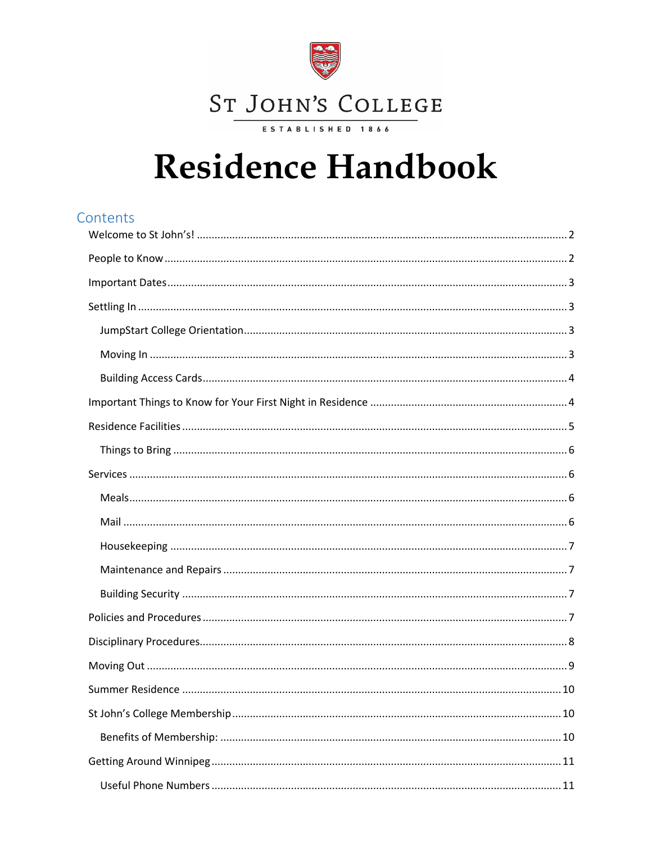

# **Residence Handbook**

# Contents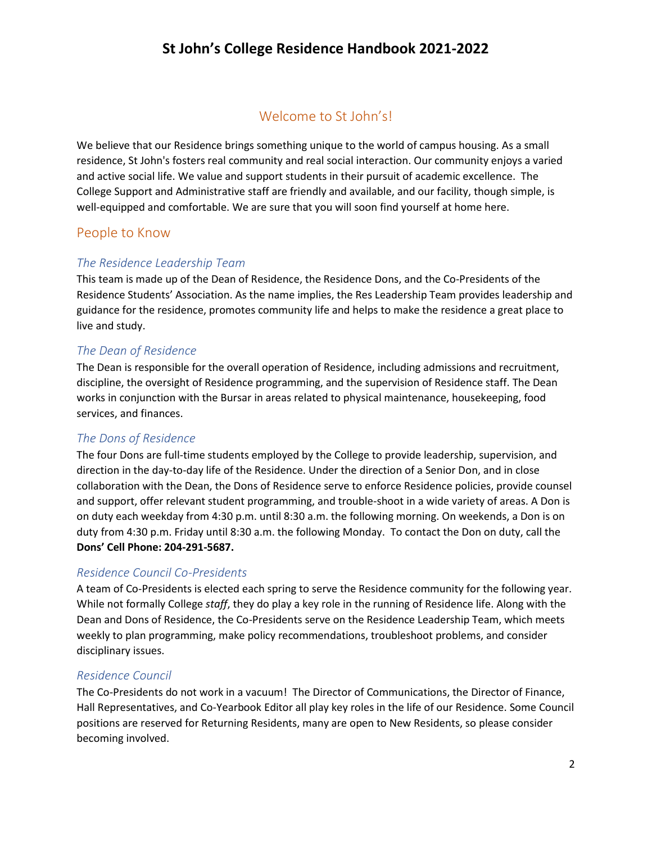# Welcome to St John's!

<span id="page-1-0"></span>We believe that our Residence brings something unique to the world of campus housing. As a small residence, St John's fosters real community and real social interaction. Our community enjoys a varied and active social life. We value and support students in their pursuit of academic excellence. The College Support and Administrative staff are friendly and available, and our facility, though simple, is well-equipped and comfortable. We are sure that you will soon find yourself at home here.

## <span id="page-1-1"></span>People to Know

#### *The Residence Leadership Team*

This team is made up of the Dean of Residence, the Residence Dons, and the Co-Presidents of the Residence Students' Association. As the name implies, the Res Leadership Team provides leadership and guidance for the residence, promotes community life and helps to make the residence a great place to live and study.

#### *The Dean of Residence*

The Dean is responsible for the overall operation of Residence, including admissions and recruitment, discipline, the oversight of Residence programming, and the supervision of Residence staff. The Dean works in conjunction with the Bursar in areas related to physical maintenance, housekeeping, food services, and finances.

#### *The Dons of Residence*

The four Dons are full-time students employed by the College to provide leadership, supervision, and direction in the day-to-day life of the Residence. Under the direction of a Senior Don, and in close collaboration with the Dean, the Dons of Residence serve to enforce Residence policies, provide counsel and support, offer relevant student programming, and trouble-shoot in a wide variety of areas. A Don is on duty each weekday from 4:30 p.m. until 8:30 a.m. the following morning. On weekends, a Don is on duty from 4:30 p.m. Friday until 8:30 a.m. the following Monday. To contact the Don on duty, call the **Dons' Cell Phone: 204-291-5687.**

#### *Residence Council Co-Presidents*

A team of Co-Presidents is elected each spring to serve the Residence community for the following year. While not formally College *staff*, they do play a key role in the running of Residence life. Along with the Dean and Dons of Residence, the Co-Presidents serve on the Residence Leadership Team, which meets weekly to plan programming, make policy recommendations, troubleshoot problems, and consider disciplinary issues.

#### *Residence Council*

The Co-Presidents do not work in a vacuum! The Director of Communications, the Director of Finance, Hall Representatives, and Co-Yearbook Editor all play key roles in the life of our Residence. Some Council positions are reserved for Returning Residents, many are open to New Residents, so please consider becoming involved.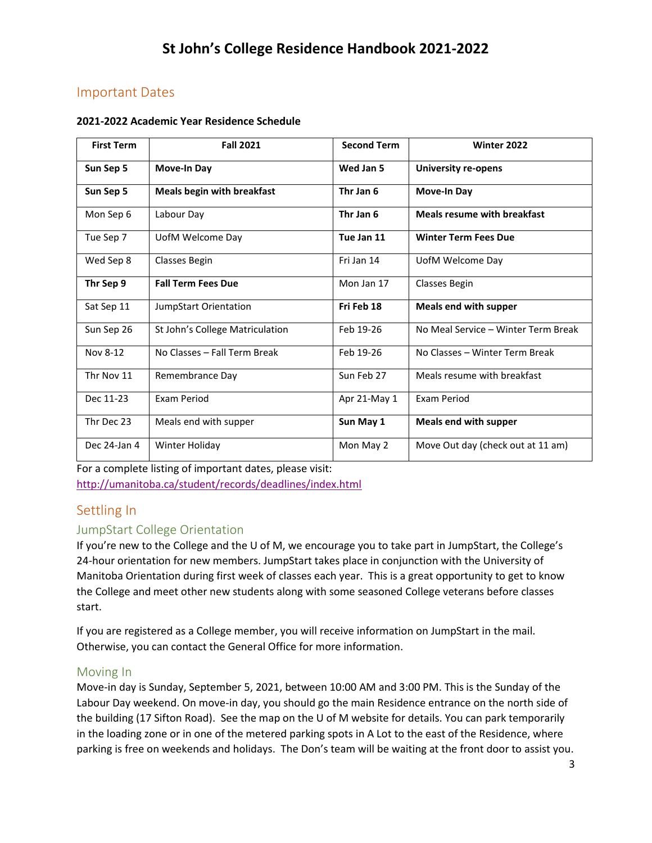# <span id="page-2-0"></span>Important Dates

#### **2021-2022 Academic Year Residence Schedule**

| <b>First Term</b> | <b>Fall 2021</b>                  | <b>Second Term</b> | Winter 2022                         |
|-------------------|-----------------------------------|--------------------|-------------------------------------|
| Sun Sep 5         | Move-In Day                       | Wed Jan 5          | University re-opens                 |
| Sun Sep 5         | <b>Meals begin with breakfast</b> | Thr Jan 6          | <b>Move-In Day</b>                  |
| Mon Sep 6         | Labour Day                        | Thr Jan 6          | <b>Meals resume with breakfast</b>  |
| Tue Sep 7         | UofM Welcome Day                  | Tue Jan 11         | <b>Winter Term Fees Due</b>         |
| Wed Sep 8         | Classes Begin                     | Fri Jan 14         | UofM Welcome Day                    |
| Thr Sep 9         | <b>Fall Term Fees Due</b>         | Mon Jan 17         | Classes Begin                       |
| Sat Sep 11        | JumpStart Orientation             | Fri Feb 18         | <b>Meals end with supper</b>        |
| Sun Sep 26        | St John's College Matriculation   | Feb 19-26          | No Meal Service - Winter Term Break |
| Nov 8-12          | No Classes - Fall Term Break      | Feb 19-26          | No Classes - Winter Term Break      |
| Thr Nov 11        | Remembrance Day                   | Sun Feb 27         | Meals resume with breakfast         |
| Dec 11-23         | Exam Period                       | Apr 21-May 1       | <b>Exam Period</b>                  |
| Thr Dec 23        | Meals end with supper             | Sun May 1          | Meals end with supper               |
| Dec 24-Jan 4      | Winter Holiday                    | Mon May 2          | Move Out day (check out at 11 am)   |

For a complete listing of important dates, please visit: <http://umanitoba.ca/student/records/deadlines/index.html>

# <span id="page-2-1"></span>Settling In

# <span id="page-2-2"></span>JumpStart College Orientation

If you're new to the College and the U of M, we encourage you to take part in JumpStart, the College's 24-hour orientation for new members. JumpStart takes place in conjunction with the University of Manitoba Orientation during first week of classes each year. This is a great opportunity to get to know the College and meet other new students along with some seasoned College veterans before classes start.

If you are registered as a College member, you will receive information on JumpStart in the mail. Otherwise, you can contact the General Office for more information.

#### <span id="page-2-3"></span>Moving In

Move-in day is Sunday, September 5, 2021, between 10:00 AM and 3:00 PM. This is the Sunday of the Labour Day weekend. On move-in day, you should go the main Residence entrance on the north side of the building (17 Sifton Road). See the map on the U of M website for details. You can park temporarily in the loading zone or in one of the metered parking spots in A Lot to the east of the Residence, where parking is free on weekends and holidays. The Don's team will be waiting at the front door to assist you.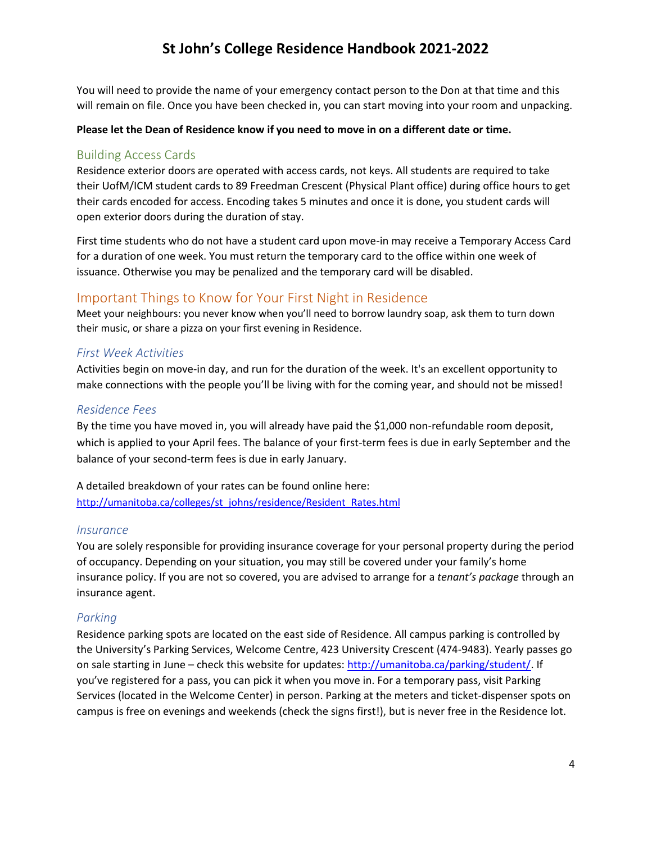You will need to provide the name of your emergency contact person to the Don at that time and this will remain on file. Once you have been checked in, you can start moving into your room and unpacking.

#### **Please let the Dean of Residence know if you need to move in on a different date or time.**

#### <span id="page-3-0"></span>Building Access Cards

Residence exterior doors are operated with access cards, not keys. All students are required to take their UofM/ICM student cards to 89 Freedman Crescent (Physical Plant office) during office hours to get their cards encoded for access. Encoding takes 5 minutes and once it is done, you student cards will open exterior doors during the duration of stay.

First time students who do not have a student card upon move-in may receive a Temporary Access Card for a duration of one week. You must return the temporary card to the office within one week of issuance. Otherwise you may be penalized and the temporary card will be disabled.

## <span id="page-3-1"></span>Important Things to Know for Your First Night in Residence

Meet your neighbours: you never know when you'll need to borrow laundry soap, ask them to turn down their music, or share a pizza on your first evening in Residence.

#### *First Week Activities*

Activities begin on move-in day, and run for the duration of the week. It's an excellent opportunity to make connections with the people you'll be living with for the coming year, and should not be missed!

#### *Residence Fees*

By the time you have moved in, you will already have paid the \$1,000 non-refundable room deposit, which is applied to your April fees. The balance of your first-term fees is due in early September and the balance of your second-term fees is due in early January.

A detailed breakdown of your rates can be found online here: [http://umanitoba.ca/colleges/st\\_johns/residence/Resident\\_Rates.html](http://umanitoba.ca/colleges/st_johns/residence/Resident_Rates.html)

#### *Insurance*

You are solely responsible for providing insurance coverage for your personal property during the period of occupancy. Depending on your situation, you may still be covered under your family's home insurance policy. If you are not so covered, you are advised to arrange for a *tenant's package* through an insurance agent.

#### *Parking*

Residence parking spots are located on the east side of Residence. All campus parking is controlled by the University's Parking Services, Welcome Centre, 423 University Crescent (474-9483). Yearly passes go on sale starting in June – check this website for updates: [http://umanitoba.ca/parking/student/.](http://umanitoba.ca/parking/student/) If you've registered for a pass, you can pick it when you move in. For a temporary pass, visit Parking Services (located in the Welcome Center) in person. Parking at the meters and ticket-dispenser spots on campus is free on evenings and weekends (check the signs first!), but is never free in the Residence lot.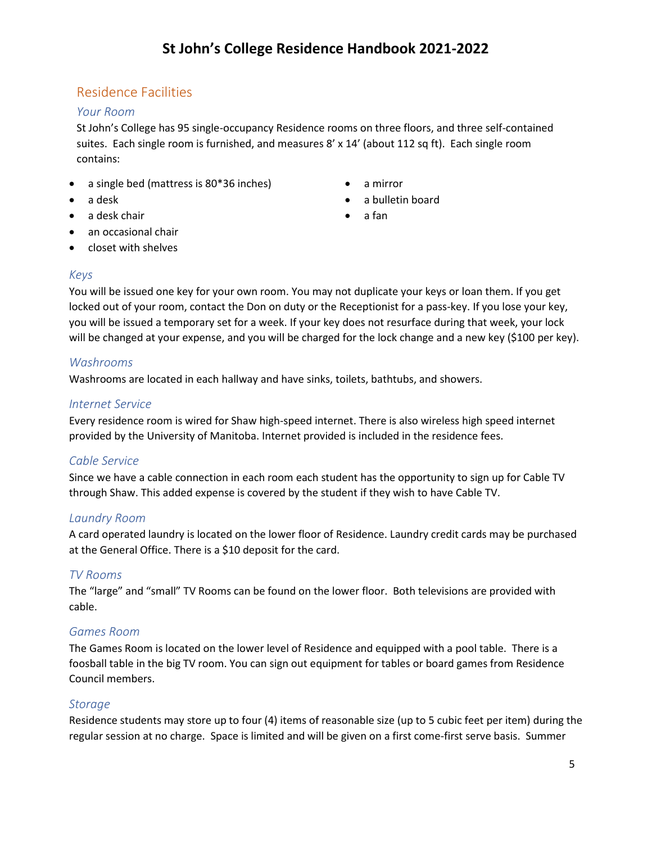# <span id="page-4-0"></span>Residence Facilities

#### *Your Room*

St John's College has 95 single-occupancy Residence rooms on three floors, and three self-contained suites. Each single room is furnished, and measures 8' x 14' (about 112 sq ft). Each single room contains:

- a single bed (mattress is 80\*36 inches)
- a desk
- a desk chair
- a mirror
- a bulletin board
- a fan

- an occasional chair
- closet with shelves

## *Keys*

You will be issued one key for your own room. You may not duplicate your keys or loan them. If you get locked out of your room, contact the Don on duty or the Receptionist for a pass-key. If you lose your key, you will be issued a temporary set for a week. If your key does not resurface during that week, your lock will be changed at your expense, and you will be charged for the lock change and a new key (\$100 per key).

## *Washrooms*

Washrooms are located in each hallway and have sinks, toilets, bathtubs, and showers.

## *Internet Service*

Every residence room is wired for Shaw high-speed internet. There is also wireless high speed internet provided by the University of Manitoba. Internet provided is included in the residence fees.

#### *Cable Service*

Since we have a cable connection in each room each student has the opportunity to sign up for Cable TV through Shaw. This added expense is covered by the student if they wish to have Cable TV.

# *Laundry Room*

A card operated laundry is located on the lower floor of Residence. Laundry credit cards may be purchased at the General Office. There is a \$10 deposit for the card.

# *TV Rooms*

The "large" and "small" TV Rooms can be found on the lower floor. Both televisions are provided with cable.

# *Games Room*

The Games Room is located on the lower level of Residence and equipped with a pool table. There is a foosball table in the big TV room. You can sign out equipment for tables or board games from Residence Council members.

#### *Storage*

Residence students may store up to four (4) items of reasonable size (up to 5 cubic feet per item) during the regular session at no charge. Space is limited and will be given on a first come-first serve basis. Summer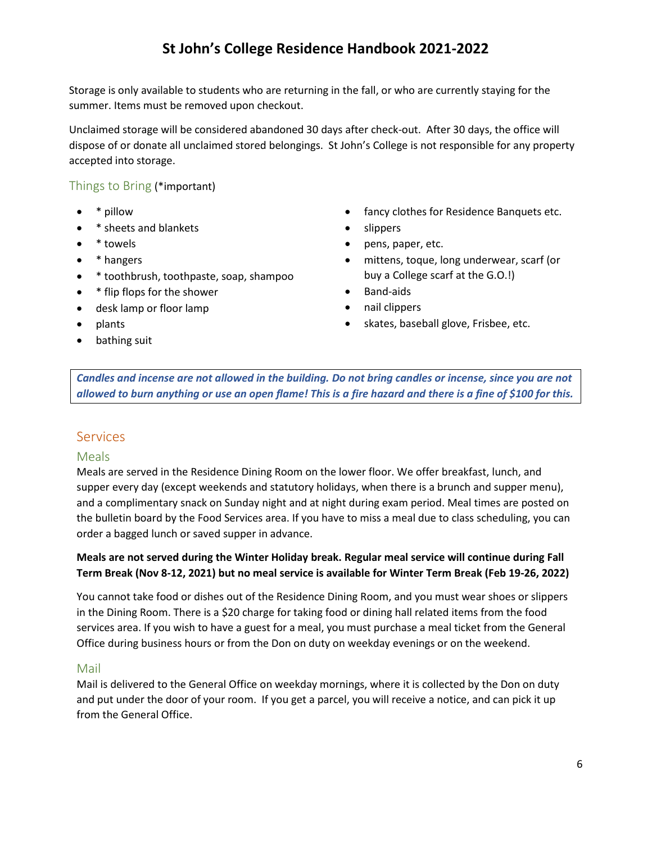Storage is only available to students who are returning in the fall, or who are currently staying for the summer. Items must be removed upon checkout.

Unclaimed storage will be considered abandoned 30 days after check-out. After 30 days, the office will dispose of or donate all unclaimed stored belongings. St John's College is not responsible for any property accepted into storage.

## <span id="page-5-0"></span>Things to Bring (\*important)

- \* pillow
- \* sheets and blankets
- \* towels
- \* hangers
- \* toothbrush, toothpaste, soap, shampoo
- \* flip flops for the shower
- desk lamp or floor lamp
- plants
- bathing suit
- fancy clothes for Residence Banquets etc.
- slippers
- pens, paper, etc.
- mittens, toque, long underwear, scarf (or buy a College scarf at the G.O.!)
- Band-aids
- nail clippers
- skates, baseball glove, Frisbee, etc.

*Candles and incense are not allowed in the building. Do not bring candles or incense, since you are not allowed to burn anything or use an open flame! This is a fire hazard and there is a fine of \$100 for this.*

#### <span id="page-5-1"></span>**Services**

#### <span id="page-5-2"></span>Meals

Meals are served in the Residence Dining Room on the lower floor. We offer breakfast, lunch, and supper every day (except weekends and statutory holidays, when there is a brunch and supper menu), and a complimentary snack on Sunday night and at night during exam period. Meal times are posted on the bulletin board by the Food Services area. If you have to miss a meal due to class scheduling, you can order a bagged lunch or saved supper in advance.

#### **Meals are not served during the Winter Holiday break. Regular meal service will continue during Fall Term Break (Nov 8-12, 2021) but no meal service is available for Winter Term Break (Feb 19-26, 2022)**

You cannot take food or dishes out of the Residence Dining Room, and you must wear shoes or slippers in the Dining Room. There is a \$20 charge for taking food or dining hall related items from the food services area. If you wish to have a guest for a meal, you must purchase a meal ticket from the General Office during business hours or from the Don on duty on weekday evenings or on the weekend.

#### <span id="page-5-3"></span>Mail

Mail is delivered to the General Office on weekday mornings, where it is collected by the Don on duty and put under the door of your room. If you get a parcel, you will receive a notice, and can pick it up from the General Office.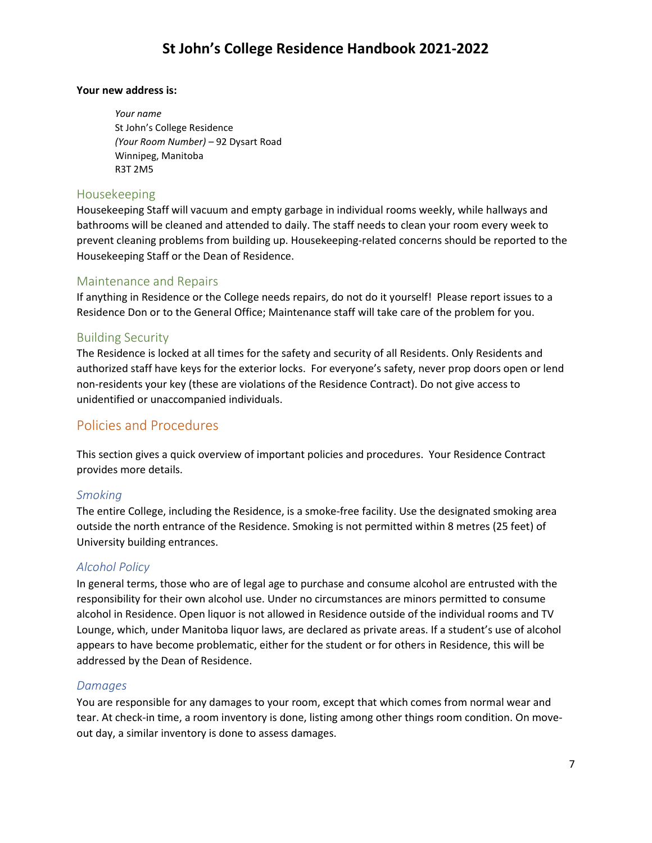#### **Your new address is:**

*Your name* St John's College Residence *(Your Room Number)* – 92 Dysart Road Winnipeg, Manitoba R3T 2M5

#### <span id="page-6-0"></span>Housekeeping

Housekeeping Staff will vacuum and empty garbage in individual rooms weekly, while hallways and bathrooms will be cleaned and attended to daily. The staff needs to clean your room every week to prevent cleaning problems from building up. Housekeeping-related concerns should be reported to the Housekeeping Staff or the Dean of Residence.

## <span id="page-6-1"></span>Maintenance and Repairs

If anything in Residence or the College needs repairs, do not do it yourself! Please report issues to a Residence Don or to the General Office; Maintenance staff will take care of the problem for you.

## <span id="page-6-2"></span>Building Security

The Residence is locked at all times for the safety and security of all Residents. Only Residents and authorized staff have keys for the exterior locks. For everyone's safety, never prop doors open or lend non-residents your key (these are violations of the Residence Contract). Do not give access to unidentified or unaccompanied individuals.

# <span id="page-6-3"></span>Policies and Procedures

This section gives a quick overview of important policies and procedures. Your Residence Contract provides more details.

# *Smoking*

The entire College, including the Residence, is a smoke-free facility. Use the designated smoking area outside the north entrance of the Residence. Smoking is not permitted within 8 metres (25 feet) of University building entrances.

# *Alcohol Policy*

In general terms, those who are of legal age to purchase and consume alcohol are entrusted with the responsibility for their own alcohol use. Under no circumstances are minors permitted to consume alcohol in Residence. Open liquor is not allowed in Residence outside of the individual rooms and TV Lounge, which, under Manitoba liquor laws, are declared as private areas. If a student's use of alcohol appears to have become problematic, either for the student or for others in Residence, this will be addressed by the Dean of Residence.

#### *Damages*

You are responsible for any damages to your room, except that which comes from normal wear and tear. At check-in time, a room inventory is done, listing among other things room condition. On moveout day, a similar inventory is done to assess damages.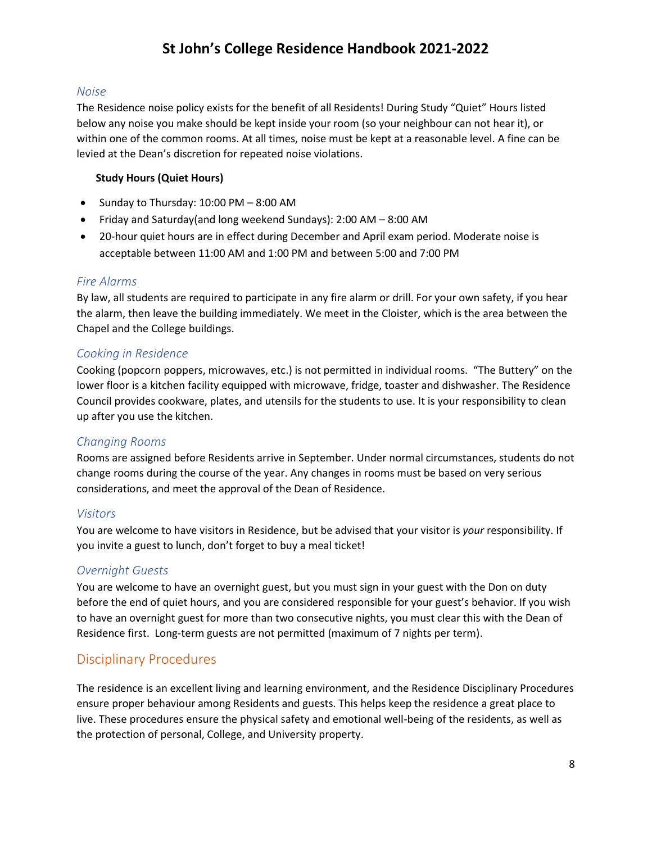#### *Noise*

The Residence noise policy exists for the benefit of all Residents! During Study "Quiet" Hours listed below any noise you make should be kept inside your room (so your neighbour can not hear it), or within one of the common rooms. At all times, noise must be kept at a reasonable level. A fine can be levied at the Dean's discretion for repeated noise violations.

#### **Study Hours (Quiet Hours)**

- Sunday to Thursday: 10:00 PM 8:00 AM
- Friday and Saturday(and long weekend Sundays): 2:00 AM 8:00 AM
- 20-hour quiet hours are in effect during December and April exam period. Moderate noise is acceptable between 11:00 AM and 1:00 PM and between 5:00 and 7:00 PM

#### *Fire Alarms*

By law, all students are required to participate in any fire alarm or drill. For your own safety, if you hear the alarm, then leave the building immediately. We meet in the Cloister, which is the area between the Chapel and the College buildings.

#### *Cooking in Residence*

Cooking (popcorn poppers, microwaves, etc.) is not permitted in individual rooms. "The Buttery" on the lower floor is a kitchen facility equipped with microwave, fridge, toaster and dishwasher. The Residence Council provides cookware, plates, and utensils for the students to use. It is your responsibility to clean up after you use the kitchen.

#### *Changing Rooms*

Rooms are assigned before Residents arrive in September. Under normal circumstances, students do not change rooms during the course of the year. Any changes in rooms must be based on very serious considerations, and meet the approval of the Dean of Residence.

#### *Visitors*

You are welcome to have visitors in Residence, but be advised that your visitor is *your* responsibility. If you invite a guest to lunch, don't forget to buy a meal ticket!

#### *Overnight Guests*

You are welcome to have an overnight guest, but you must sign in your guest with the Don on duty before the end of quiet hours, and you are considered responsible for your guest's behavior. If you wish to have an overnight guest for more than two consecutive nights, you must clear this with the Dean of Residence first. Long-term guests are not permitted (maximum of 7 nights per term).

# <span id="page-7-0"></span>Disciplinary Procedures

The residence is an excellent living and learning environment, and the Residence Disciplinary Procedures ensure proper behaviour among Residents and guests. This helps keep the residence a great place to live. These procedures ensure the physical safety and emotional well-being of the residents, as well as the protection of personal, College, and University property.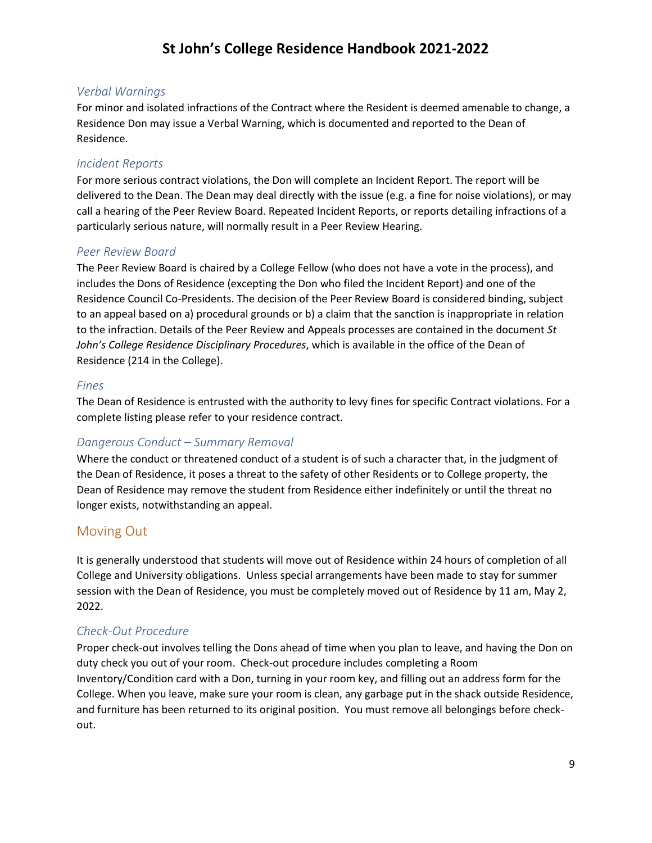#### *Verbal Warnings*

For minor and isolated infractions of the Contract where the Resident is deemed amenable to change, a Residence Don may issue a Verbal Warning, which is documented and reported to the Dean of Residence.

#### *Incident Reports*

For more serious contract violations, the Don will complete an Incident Report. The report will be delivered to the Dean. The Dean may deal directly with the issue (e.g. a fine for noise violations), or may call a hearing of the Peer Review Board. Repeated Incident Reports, or reports detailing infractions of a particularly serious nature, will normally result in a Peer Review Hearing.

#### *Peer Review Board*

The Peer Review Board is chaired by a College Fellow (who does not have a vote in the process), and includes the Dons of Residence (excepting the Don who filed the Incident Report) and one of the Residence Council Co-Presidents. The decision of the Peer Review Board is considered binding, subject to an appeal based on a) procedural grounds or b) a claim that the sanction is inappropriate in relation to the infraction. Details of the Peer Review and Appeals processes are contained in the document *St John's College Residence Disciplinary Procedures*, which is available in the office of the Dean of Residence (214 in the College).

#### *Fines*

The Dean of Residence is entrusted with the authority to levy fines for specific Contract violations. For a complete listing please refer to your residence contract.

#### *Dangerous Conduct – Summary Removal*

Where the conduct or threatened conduct of a student is of such a character that, in the judgment of the Dean of Residence, it poses a threat to the safety of other Residents or to College property, the Dean of Residence may remove the student from Residence either indefinitely or until the threat no longer exists, notwithstanding an appeal.

#### <span id="page-8-0"></span>Moving Out

It is generally understood that students will move out of Residence within 24 hours of completion of all College and University obligations. Unless special arrangements have been made to stay for summer session with the Dean of Residence, you must be completely moved out of Residence by 11 am, May 2, 2022.

#### *Check-Out Procedure*

Proper check-out involves telling the Dons ahead of time when you plan to leave, and having the Don on duty check you out of your room. Check-out procedure includes completing a Room Inventory/Condition card with a Don, turning in your room key, and filling out an address form for the College. When you leave, make sure your room is clean, any garbage put in the shack outside Residence, and furniture has been returned to its original position. You must remove all belongings before checkout.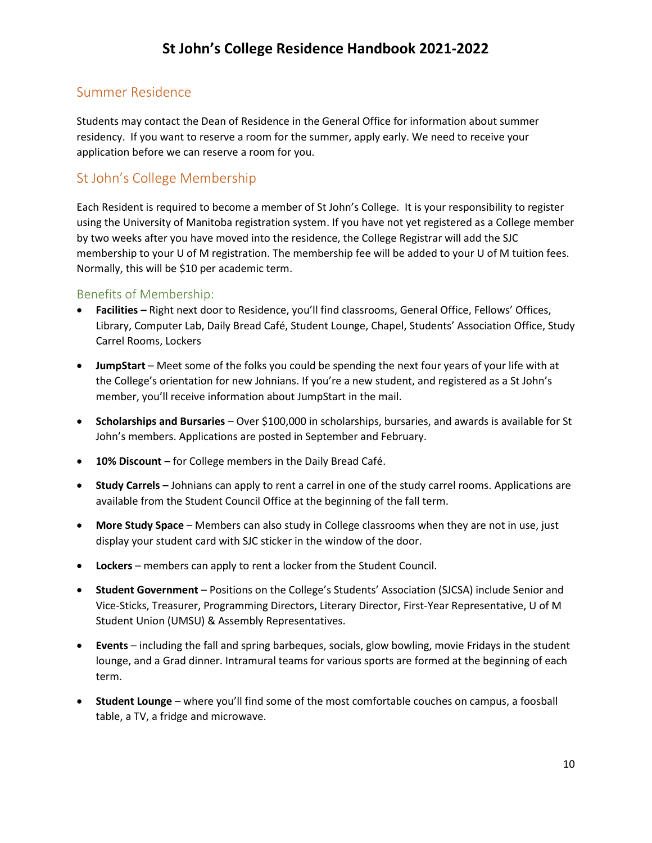# <span id="page-9-0"></span>Summer Residence

Students may contact the Dean of Residence in the General Office for information about summer residency. If you want to reserve a room for the summer, apply early. We need to receive your application before we can reserve a room for you.

# <span id="page-9-1"></span>St John's College Membership

Each Resident is required to become a member of St John's College. It is your responsibility to register using the University of Manitoba registration system. If you have not yet registered as a College member by two weeks after you have moved into the residence, the College Registrar will add the SJC membership to your U of M registration. The membership fee will be added to your U of M tuition fees. Normally, this will be \$10 per academic term.

## <span id="page-9-2"></span>Benefits of Membership:

- **Facilities –** Right next door to Residence, you'll find classrooms, General Office, Fellows' Offices, Library, Computer Lab, Daily Bread Café, Student Lounge, Chapel, Students' Association Office, Study Carrel Rooms, Lockers
- **JumpStart**  Meet some of the folks you could be spending the next four years of your life with at the College's orientation for new Johnians. If you're a new student, and registered as a St John's member, you'll receive information about JumpStart in the mail.
- **Scholarships and Bursaries** Over \$100,000 in scholarships, bursaries, and awards is available for St John's members. Applications are posted in September and February.
- **10% Discount –** for College members in the Daily Bread Café.
- **Study Carrels –** Johnians can apply to rent a carrel in one of the study carrel rooms. Applications are available from the Student Council Office at the beginning of the fall term.
- **More Study Space**  Members can also study in College classrooms when they are not in use, just display your student card with SJC sticker in the window of the door.
- **Lockers** members can apply to rent a locker from the Student Council.
- **Student Government** Positions on the College's Students' Association (SJCSA) include Senior and Vice-Sticks, Treasurer, Programming Directors, Literary Director, First-Year Representative, U of M Student Union (UMSU) & Assembly Representatives.
- **Events** including the fall and spring barbeques, socials, glow bowling, movie Fridays in the student lounge, and a Grad dinner. Intramural teams for various sports are formed at the beginning of each term.
- **Student Lounge** where you'll find some of the most comfortable couches on campus, a foosball table, a TV, a fridge and microwave.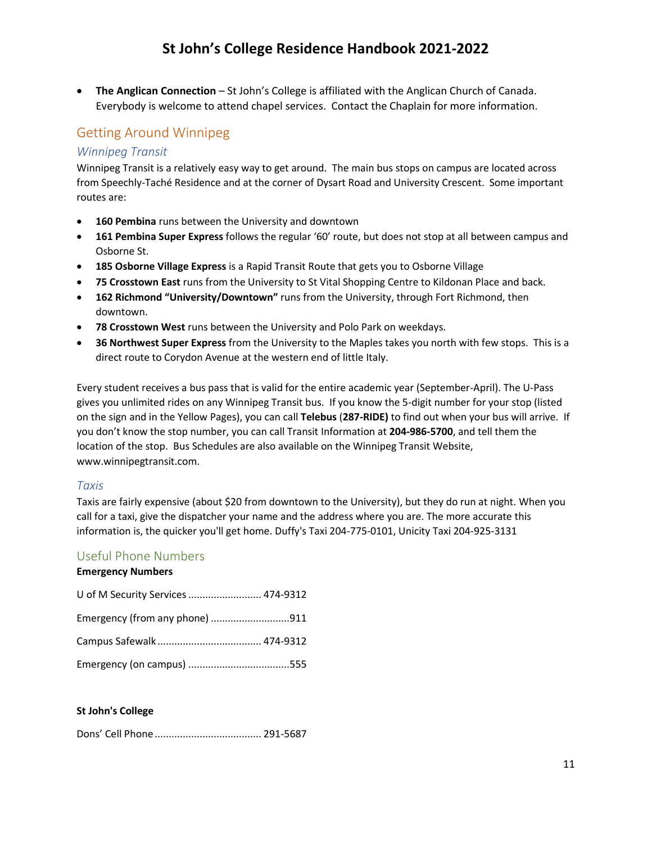• **The Anglican Connection** – St John's College is affiliated with the Anglican Church of Canada. Everybody is welcome to attend chapel services. Contact the Chaplain for more information.

# <span id="page-10-0"></span>Getting Around Winnipeg

## *Winnipeg Transit*

Winnipeg Transit is a relatively easy way to get around. The main bus stops on campus are located across from Speechly-Taché Residence and at the corner of Dysart Road and University Crescent. Some important routes are:

- **160 Pembina** runs between the University and downtown
- **161 Pembina Super Express** follows the regular '60' route, but does not stop at all between campus and Osborne St.
- **185 Osborne Village Express** is a Rapid Transit Route that gets you to Osborne Village
- **75 Crosstown East** runs from the University to St Vital Shopping Centre to Kildonan Place and back.
- **162 Richmond "University/Downtown"** runs from the University, through Fort Richmond, then downtown.
- **78 Crosstown West** runs between the University and Polo Park on weekdays.
- **36 Northwest Super Express** from the University to the Maples takes you north with few stops. This is a direct route to Corydon Avenue at the western end of little Italy.

Every student receives a bus pass that is valid for the entire academic year (September-April). The U-Pass gives you unlimited rides on any Winnipeg Transit bus. If you know the 5-digit number for your stop (listed on the sign and in the Yellow Pages), you can call **Telebus** (**287-RIDE)** to find out when your bus will arrive. If you don't know the stop number, you can call Transit Information at **204-986-5700**, and tell them the location of the stop. Bus Schedules are also available on the Winnipeg Transit Website, www.winnipegtransit.com.

#### *Taxis*

Taxis are fairly expensive (about \$20 from downtown to the University), but they do run at night. When you call for a taxi, give the dispatcher your name and the address where you are. The more accurate this information is, the quicker you'll get home. Duffy's Taxi 204-775-0101, Unicity Taxi 204-925-3131

# <span id="page-10-1"></span>Useful Phone Numbers

#### **Emergency Numbers**

| U of M Security Services  474-9312 |  |
|------------------------------------|--|
| Emergency (from any phone) 911     |  |
|                                    |  |
|                                    |  |

#### **St John's College**

Dons' Cell Phone...................................... 291-5687